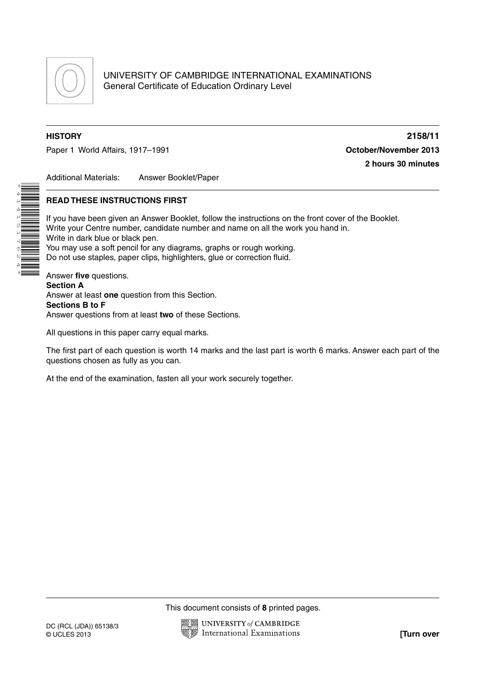

\*4141517624\*

Paper 1 World Affairs, 1917–1991 **Construction Construction Construction Construction Construction Construction** 

**HISTORY 2158/11 2 hours 30 minutes**

Additional Materials: Answer Booklet/Paper

# **READ THESE INSTRUCTIONS FIRST**

If you have been given an Answer Booklet, follow the instructions on the front cover of the Booklet. Write your Centre number, candidate number and name on all the work you hand in. Write in dark blue or black pen. You may use a soft pencil for any diagrams, graphs or rough working. Do not use staples, paper clips, highlighters, glue or correction fluid. Answer **five** questions. **Section A**

Answer at least **one** question from this Section. **Sections B to F** Answer questions from at least **two** of these Sections.

All questions in this paper carry equal marks.

The first part of each question is worth 14 marks and the last part is worth 6 marks. Answer each part of the questions chosen as fully as you can.

At the end of the examination, fasten all your work securely together.

This document consists of **8** printed pages.

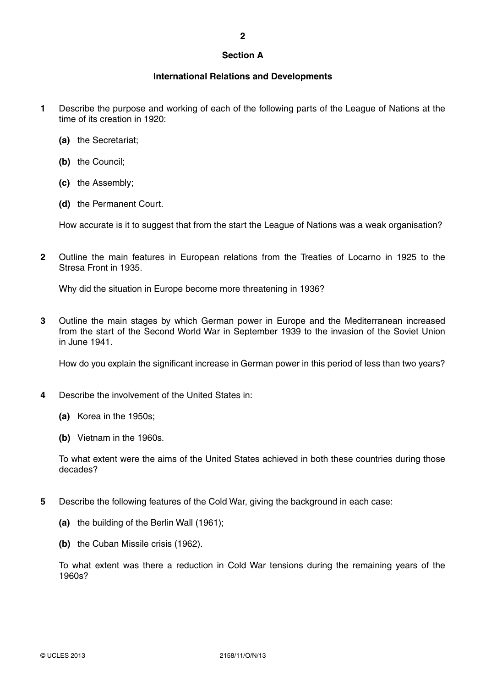### **Section A**

## **International Relations and Developments**

- **1** Describe the purpose and working of each of the following parts of the League of Nations at the time of its creation in 1920:
	- **(a)** the Secretariat;
	- **(b)** the Council;
	- **(c)** the Assembly;
	- **(d)** the Permanent Court.

How accurate is it to suggest that from the start the League of Nations was a weak organisation?

**2** Outline the main features in European relations from the Treaties of Locarno in 1925 to the Stresa Front in 1935.

Why did the situation in Europe become more threatening in 1936?

**3** Outline the main stages by which German power in Europe and the Mediterranean increased from the start of the Second World War in September 1939 to the invasion of the Soviet Union in June 1941.

How do you explain the significant increase in German power in this period of less than two years?

- **4** Describe the involvement of the United States in:
	- **(a)** Korea in the 1950s;
	- **(b)** Vietnam in the 1960s.

To what extent were the aims of the United States achieved in both these countries during those decades?

- **5** Describe the following features of the Cold War, giving the background in each case:
	- **(a)** the building of the Berlin Wall (1961);
	- **(b)** the Cuban Missile crisis (1962).

To what extent was there a reduction in Cold War tensions during the remaining years of the 1960s?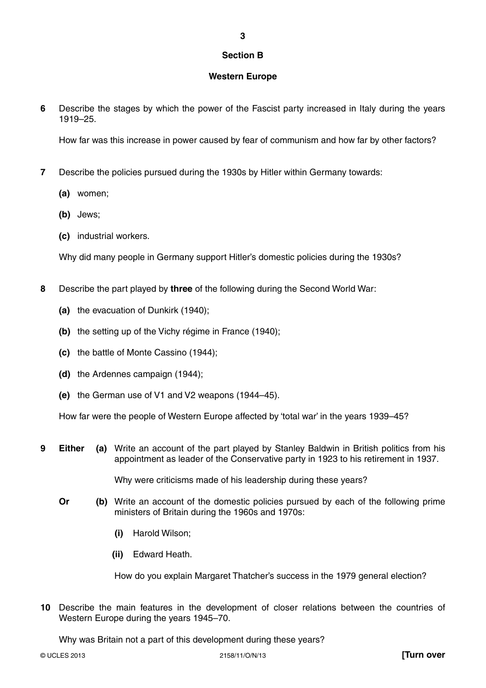# **Section B**

**3**

# **Western Europe**

**6** Describe the stages by which the power of the Fascist party increased in Italy during the years 1919–25.

How far was this increase in power caused by fear of communism and how far by other factors?

- **7** Describe the policies pursued during the 1930s by Hitler within Germany towards:
	- **(a)** women;
	- **(b)** Jews;
	- **(c)** industrial workers.

Why did many people in Germany support Hitler's domestic policies during the 1930s?

- **8** Describe the part played by **three** of the following during the Second World War:
	- **(a)** the evacuation of Dunkirk (1940);
	- **(b)** the setting up of the Vichy régime in France (1940);
	- **(c)** the battle of Monte Cassino (1944);
	- **(d)** the Ardennes campaign (1944);
	- **(e)** the German use of V1 and V2 weapons (1944–45).

How far were the people of Western Europe affected by 'total war' in the years 1939–45?

**9 Either (a)** Write an account of the part played by Stanley Baldwin in British politics from his appointment as leader of the Conservative party in 1923 to his retirement in 1937.

Why were criticisms made of his leadership during these years?

- **Or** (b) Write an account of the domestic policies pursued by each of the following prime ministers of Britain during the 1960s and 1970s:
	- **(i)** Harold Wilson;
	- **(ii)** Edward Heath.

How do you explain Margaret Thatcher's success in the 1979 general election?

**10** Describe the main features in the development of closer relations between the countries of Western Europe during the years 1945–70.

Why was Britain not a part of this development during these years?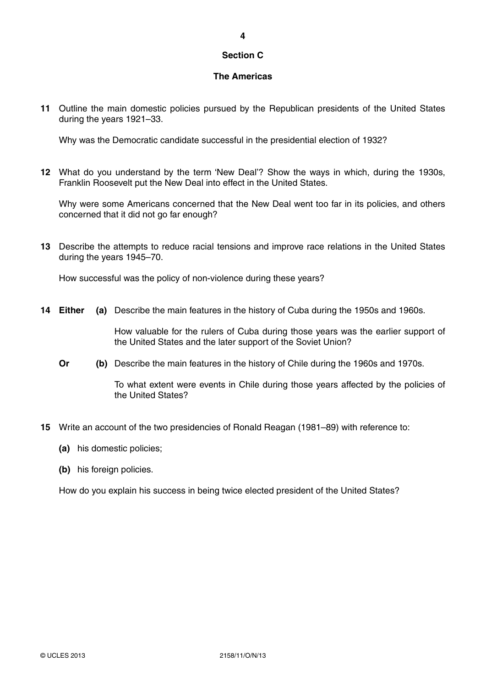# **Section C**

# **The Americas**

**11** Outline the main domestic policies pursued by the Republican presidents of the United States during the years 1921–33.

Why was the Democratic candidate successful in the presidential election of 1932?

**12** What do you understand by the term 'New Deal'? Show the ways in which, during the 1930s, Franklin Roosevelt put the New Deal into effect in the United States.

Why were some Americans concerned that the New Deal went too far in its policies, and others concerned that it did not go far enough?

**13** Describe the attempts to reduce racial tensions and improve race relations in the United States during the years 1945–70.

How successful was the policy of non-violence during these years?

**14 Either (a)** Describe the main features in the history of Cuba during the 1950s and 1960s.

How valuable for the rulers of Cuba during those years was the earlier support of the United States and the later support of the Soviet Union?

**Or** (b) Describe the main features in the history of Chile during the 1960s and 1970s.

To what extent were events in Chile during those years affected by the policies of the United States?

- **15** Write an account of the two presidencies of Ronald Reagan (1981–89) with reference to:
	- **(a)** his domestic policies;
	- **(b)** his foreign policies.

How do you explain his success in being twice elected president of the United States?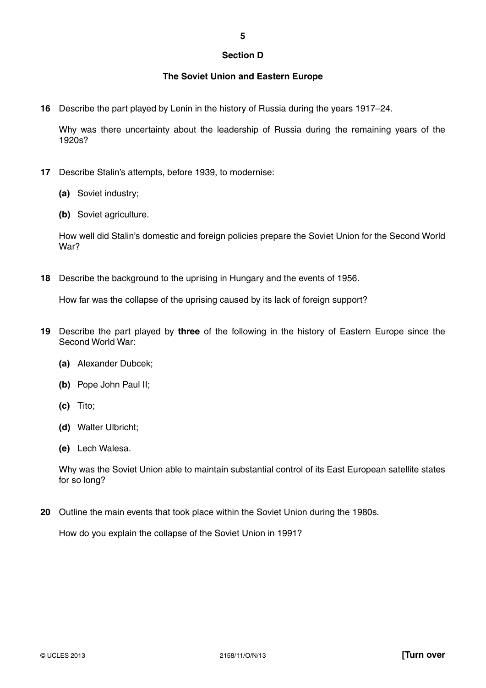### **Section D**

# **The Soviet Union and Eastern Europe**

**16** Describe the part played by Lenin in the history of Russia during the years 1917–24.

Why was there uncertainty about the leadership of Russia during the remaining years of the 1920s?

- **17** Describe Stalin's attempts, before 1939, to modernise:
	- **(a)** Soviet industry;
	- **(b)** Soviet agriculture.

How well did Stalin's domestic and foreign policies prepare the Soviet Union for the Second World War?

**18** Describe the background to the uprising in Hungary and the events of 1956.

How far was the collapse of the uprising caused by its lack of foreign support?

- **19** Describe the part played by **three** of the following in the history of Eastern Europe since the Second World War:
	- **(a)** Alexander Dubcek;
	- **(b)** Pope John Paul II;
	- **(c)** Tito;
	- **(d)** Walter Ulbricht;
	- **(e)** Lech Walesa.

Why was the Soviet Union able to maintain substantial control of its East European satellite states for so long?

**20** Outline the main events that took place within the Soviet Union during the 1980s.

How do you explain the collapse of the Soviet Union in 1991?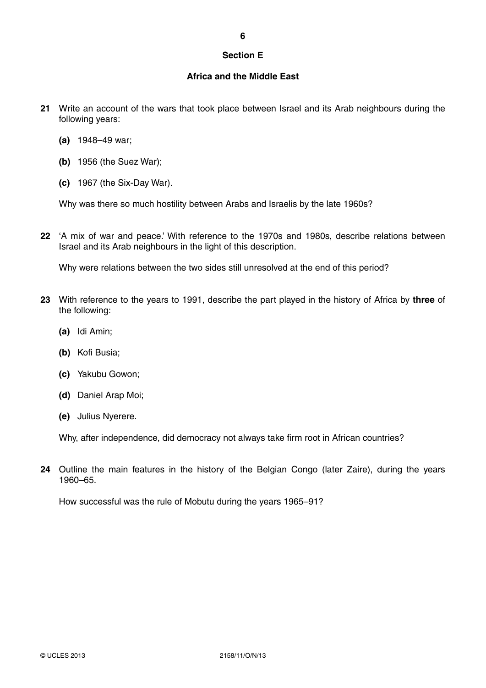# **Section E**

# **Africa and the Middle East**

- **21** Write an account of the wars that took place between Israel and its Arab neighbours during the following years:
	- **(a)** 1948–49 war;
	- **(b)** 1956 (the Suez War);
	- **(c)** 1967 (the Six-Day War).

Why was there so much hostility between Arabs and Israelis by the late 1960s?

**22** 'A mix of war and peace.' With reference to the 1970s and 1980s, describe relations between Israel and its Arab neighbours in the light of this description.

Why were relations between the two sides still unresolved at the end of this period?

- **23** With reference to the years to 1991, describe the part played in the history of Africa by **three** of the following:
	- **(a)** Idi Amin;
	- **(b)** Kofi Busia;
	- **(c)** Yakubu Gowon;
	- **(d)** Daniel Arap Moi;
	- **(e)** Julius Nyerere.

Why, after independence, did democracy not always take firm root in African countries?

**24** Outline the main features in the history of the Belgian Congo (later Zaire), during the years 1960–65.

How successful was the rule of Mobutu during the years 1965–91?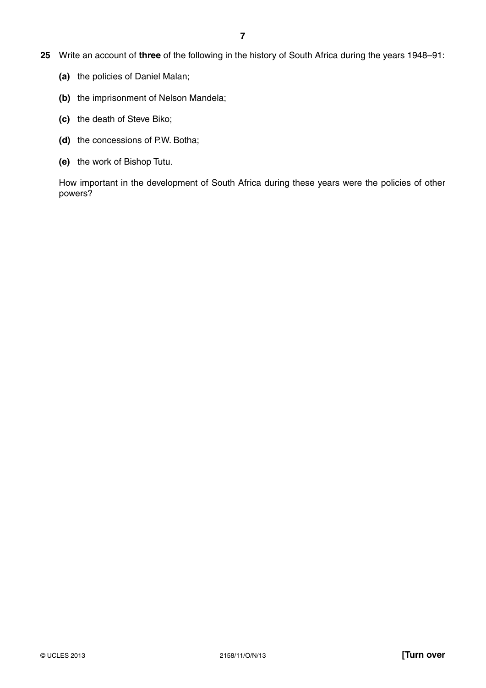- **25** Write an account of **three** of the following in the history of South Africa during the years 1948–91:
	- **(a)** the policies of Daniel Malan;
	- **(b)** the imprisonment of Nelson Mandela;
	- **(c)** the death of Steve Biko;
	- **(d)** the concessions of P.W. Botha;
	- **(e)** the work of Bishop Tutu.

How important in the development of South Africa during these years were the policies of other powers?